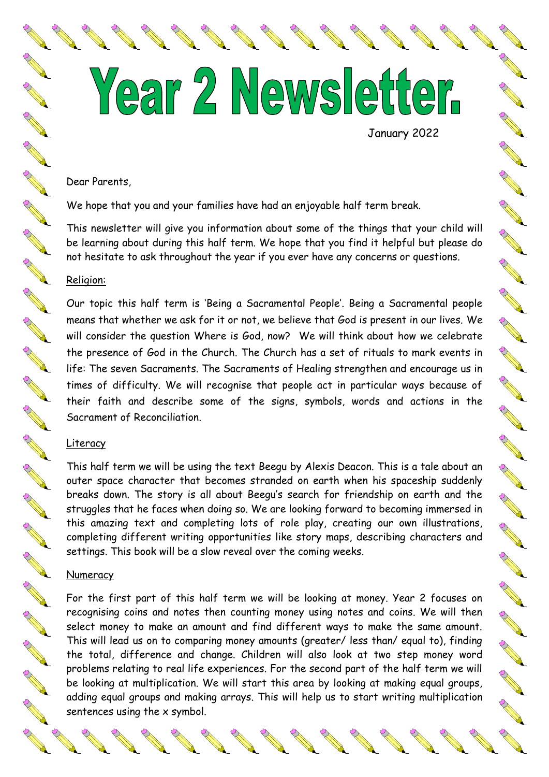Year 2 Newsletter.

January 2022

**SARANT SARA** 

A March 19

Control of

AND ROAD

RANT ROOM

New Read

**AND** 

**Contract of the Contract of the Contract of the Contract of the Contract of The Contract of The Contract of The Contract of The Contract of The Contract of The Contract of The Contract of The Contract of The Contract of T** 

AN A

AND ROAD

SEPTER STRIKE

AND ROAD

A March 19

**RAND** 

Control of the

AND ROAD

A March 19

#### Dear Parents,

We hope that you and your families have had an enjoyable half term break.

This newsletter will give you information about some of the things that your child will be learning about during this half term. We hope that you find it helpful but please do not hesitate to ask throughout the year if you ever have any concerns or questions.

# Religion:

Our topic this half term is 'Being a Sacramental People'. Being a Sacramental people means that whether we ask for it or not, we believe that God is present in our lives. We will consider the question Where is God, now? We will think about how we celebrate the presence of God in the Church. The Church has a set of rituals to mark events in life: The seven Sacraments. The Sacraments of Healing strengthen and encourage us in times of difficulty. We will recognise that people act in particular ways because of their faith and describe some of the signs, symbols, words and actions in the Sacrament of Reconciliation.

### Literacy

This half term we will be using the text Beegu by Alexis Deacon. This is a tale about an outer space character that becomes stranded on earth when his spaceship suddenly breaks down. The story is all about Beegu's search for friendship on earth and the struggles that he faces when doing so. We are looking forward to becoming immersed in this amazing text and completing lots of role play, creating our own illustrations, completing different writing opportunities like story maps, describing characters and settings. This book will be a slow reveal over the coming weeks.

#### Numeracy

For the first part of this half term we will be looking at money. Year 2 focuses on recognising coins and notes then counting money using notes and coins. We will then select money to make an amount and find different ways to make the same amount. This will lead us on to comparing money amounts (greater/ less than/ equal to), finding the total, difference and change. Children will also look at two step money word problems relating to real life experiences. For the second part of the half term we will be looking at multiplication. We will start this area by looking at making equal groups, adding equal groups and making arrays. This will help us to start writing multiplication sentences using the x symbol.